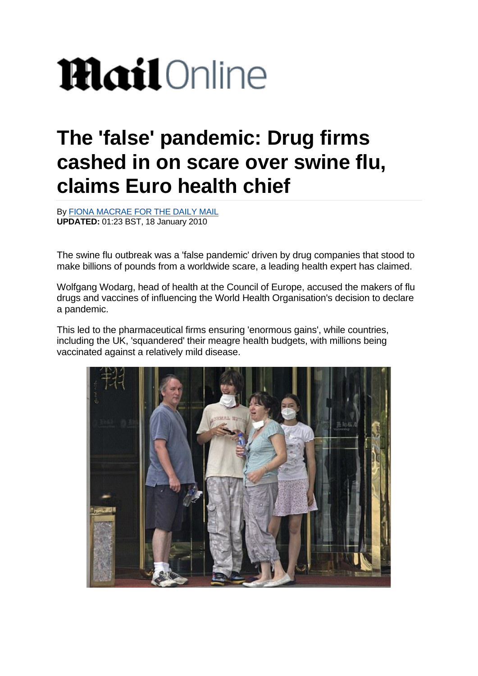## **Mail**Online

## **The 'false' pandemic: Drug firms cashed in on scare over swine flu, claims Euro health chief**

By [FIONA MACRAE FOR THE DAILY MAIL](https://www.dailymail.co.uk/home/search.html?s=&authornamef=Fiona+Macrae+for+the+Daily+Mail) **UPDATED:** 01:23 BST, 18 January 2010

The swine flu outbreak was a 'false pandemic' driven by drug companies that stood to make billions of pounds from a worldwide scare, a leading health expert has claimed.

Wolfgang Wodarg, head of health at the Council of Europe, accused the makers of flu drugs and vaccines of influencing the World Health Organisation's decision to declare a pandemic.

This led to the pharmaceutical firms ensuring 'enormous gains', while countries, including the UK, 'squandered' their meagre health budgets, with millions being vaccinated against a relatively mild disease.

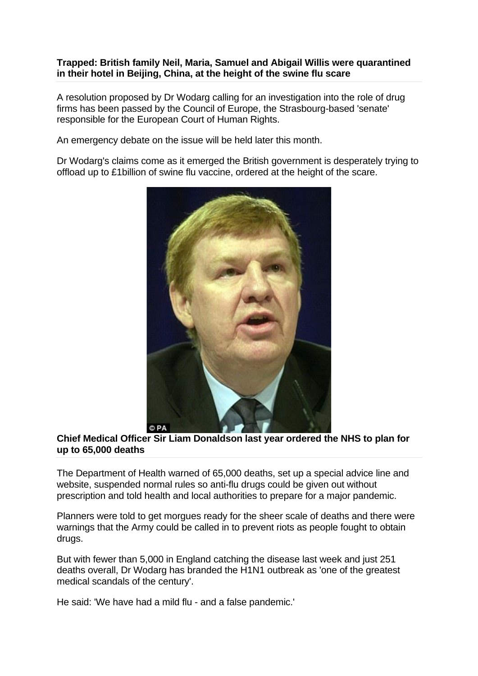## **Trapped: British family Neil, Maria, Samuel and Abigail Willis were quarantined in their hotel in Beijing, China, at the height of the swine flu scare**

A resolution proposed by Dr Wodarg calling for an investigation into the role of drug firms has been passed by the Council of Europe, the Strasbourg-based 'senate' responsible for the European Court of Human Rights.

An emergency debate on the issue will be held later this month.

Dr Wodarg's claims come as it emerged the British government is desperately trying to offload up to £1billion of swine flu vaccine, ordered at the height of the scare.



## **Chief Medical Officer Sir Liam Donaldson last year ordered the NHS to plan for up to 65,000 deaths**

The Department of Health warned of 65,000 deaths, set up a special advice line and website, suspended normal rules so anti-flu drugs could be given out without prescription and told health and local authorities to prepare for a major pandemic.

Planners were told to get morgues ready for the sheer scale of deaths and there were warnings that the Army could be called in to prevent riots as people fought to obtain drugs.

But with fewer than 5,000 in England catching the disease last week and just 251 deaths overall, Dr Wodarg has branded the H1N1 outbreak as 'one of the greatest medical scandals of the century'.

He said: 'We have had a mild flu - and a false pandemic.'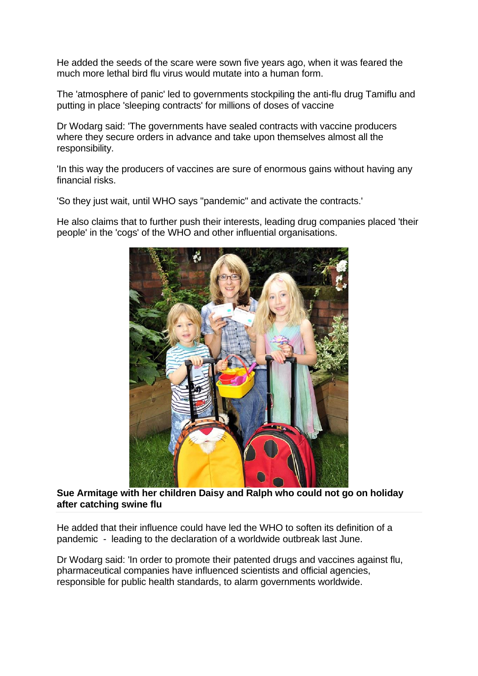He added the seeds of the scare were sown five years ago, when it was feared the much more lethal bird flu virus would mutate into a human form.

The 'atmosphere of panic' led to governments stockpiling the anti-flu drug Tamiflu and putting in place 'sleeping contracts' for millions of doses of vaccine

Dr Wodarg said: 'The governments have sealed contracts with vaccine producers where they secure orders in advance and take upon themselves almost all the responsibility.

'In this way the producers of vaccines are sure of enormous gains without having any financial risks.

'So they just wait, until WHO says "pandemic" and activate the contracts.'

He also claims that to further push their interests, leading drug companies placed 'their people' in the 'cogs' of the WHO and other influential organisations.



**Sue Armitage with her children Daisy and Ralph who could not go on holiday after catching swine flu**

He added that their influence could have led the WHO to soften its definition of a pandemic - leading to the declaration of a worldwide outbreak last June.

Dr Wodarg said: 'In order to promote their patented drugs and vaccines against flu, pharmaceutical companies have influenced scientists and official agencies, responsible for public health standards, to alarm governments worldwide.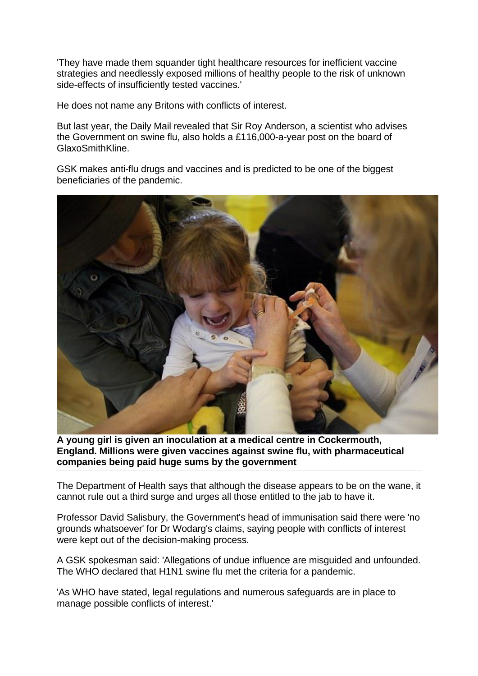'They have made them squander tight healthcare resources for inefficient vaccine strategies and needlessly exposed millions of healthy people to the risk of unknown side-effects of insufficiently tested vaccines.'

He does not name any Britons with conflicts of interest.

But last year, the Daily Mail revealed that Sir Roy Anderson, a scientist who advises the Government on swine flu, also holds a £116,000-a-year post on the board of GlaxoSmithKline.

GSK makes anti-flu drugs and vaccines and is predicted to be one of the biggest beneficiaries of the pandemic.



**A young girl is given an inoculation at a medical centre in Cockermouth, England. Millions were given vaccines against swine flu, with pharmaceutical companies being paid huge sums by the government**

The Department of Health says that although the disease appears to be on the wane, it cannot rule out a third surge and urges all those entitled to the jab to have it.

Professor David Salisbury, the Government's head of immunisation said there were 'no grounds whatsoever' for Dr Wodarg's claims, saying people with conflicts of interest were kept out of the decision-making process.

A GSK spokesman said: 'Allegations of undue influence are misguided and unfounded. The WHO declared that H1N1 swine flu met the criteria for a pandemic.

'As WHO have stated, legal regulations and numerous safeguards are in place to manage possible conflicts of interest.'